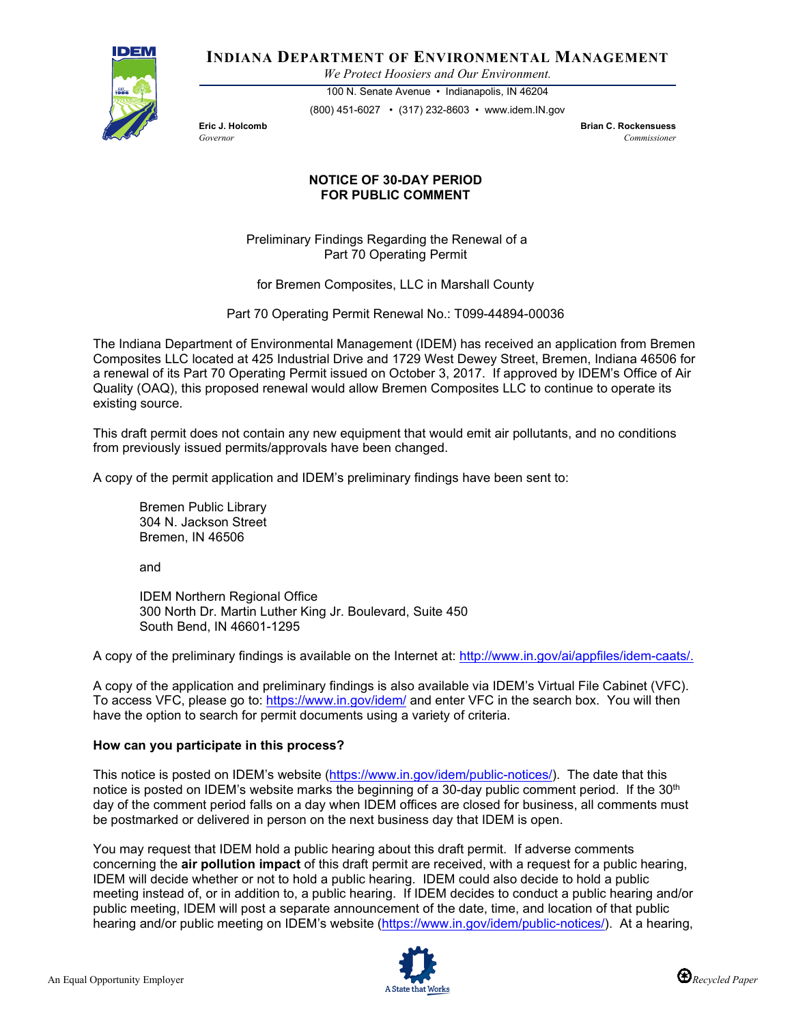

**INDIANA DEPARTMENT OF ENVIRONMENTAL MANAGEMENT**

*We Protect Hoosiers and Our Environment.*

100 N. Senate Avenue • Indianapolis, IN 46204 (800) 451-6027 • (317) 232-8603 • www.idem.IN.gov

**Eric J. Holcomb Brian C. Rockensuess** *Governor Commissioner* 

## **NOTICE OF 30-DAY PERIOD FOR PUBLIC COMMENT**

Preliminary Findings Regarding the Renewal of a Part 70 Operating Permit

for Bremen Composites, LLC in Marshall County

Part 70 Operating Permit Renewal No.: T099-44894-00036

The Indiana Department of Environmental Management (IDEM) has received an application from Bremen Composites LLC located at 425 Industrial Drive and 1729 West Dewey Street, Bremen, Indiana 46506 for a renewal of its Part 70 Operating Permit issued on October 3, 2017. If approved by IDEM's Office of Air Quality (OAQ), this proposed renewal would allow Bremen Composites LLC to continue to operate its existing source.

This draft permit does not contain any new equipment that would emit air pollutants, and no conditions from previously issued permits/approvals have been changed.

A copy of the permit application and IDEM's preliminary findings have been sent to:

Bremen Public Library 304 N. Jackson Street Bremen, IN 46506

and

IDEM Northern Regional Office 300 North Dr. Martin Luther King Jr. Boulevard, Suite 450 South Bend, IN 46601-1295

A copy of the preliminary findings is available on the Internet at: [http://www.in.gov/ai/appfiles/idem-caats/.](http://www.in.gov/ai/appfiles/idem-caats/)

A copy of the application and preliminary findings is also available via IDEM's Virtual File Cabinet (VFC). To access VFC, please go to:<https://www.in.gov/idem/> and enter VFC in the search box. You will then have the option to search for permit documents using a variety of criteria.

## **How can you participate in this process?**

This notice is posted on IDEM's website [\(https://www.in.gov/idem/public-notices/\)](https://www.in.gov/idem/public-notices/). The date that this notice is posted on IDEM's website marks the beginning of a 30-day public comment period. If the 30<sup>th</sup> day of the comment period falls on a day when IDEM offices are closed for business, all comments must be postmarked or delivered in person on the next business day that IDEM is open.

You may request that IDEM hold a public hearing about this draft permit. If adverse comments concerning the **air pollution impact** of this draft permit are received, with a request for a public hearing, IDEM will decide whether or not to hold a public hearing. IDEM could also decide to hold a public meeting instead of, or in addition to, a public hearing. If IDEM decides to conduct a public hearing and/or public meeting, IDEM will post a separate announcement of the date, time, and location of that public hearing and/or public meeting on IDEM's website [\(https://www.in.gov/idem/public-notices/\)](https://www.in.gov/idem/public-notices/). At a hearing,